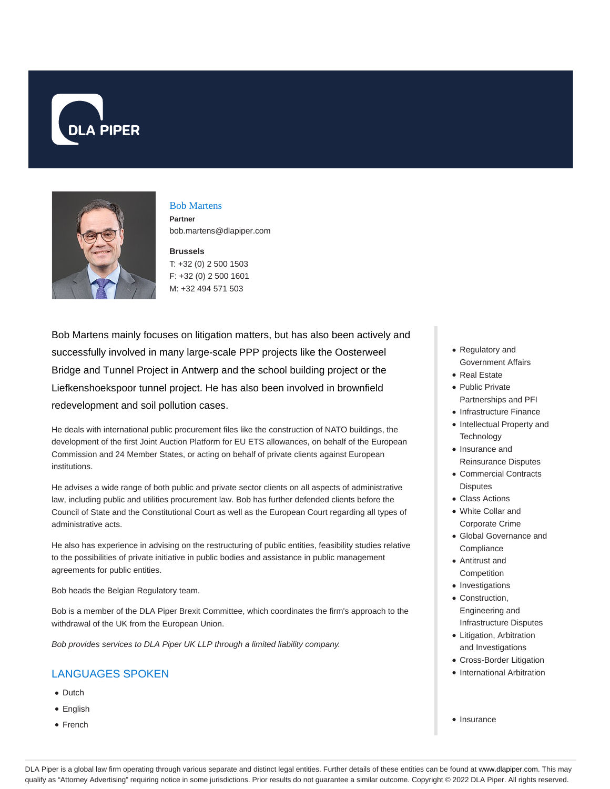



#### Bob Martens

**Partner** bob.martens@dlapiper.com

**Brussels** T: +32 (0) 2 500 1503 F: +32 (0) 2 500 1601 M: +32 494 571 503

Bob Martens mainly focuses on litigation matters, but has also been actively and successfully involved in many large-scale PPP projects like the Oosterweel Bridge and Tunnel Project in Antwerp and the school building project or the Liefkenshoekspoor tunnel project. He has also been involved in brownfield redevelopment and soil pollution cases.

He deals with international public procurement files like the construction of NATO buildings, the development of the first Joint Auction Platform for EU ETS allowances, on behalf of the European Commission and 24 Member States, or acting on behalf of private clients against European institutions.

He advises a wide range of both public and private sector clients on all aspects of administrative law, including public and utilities procurement law. Bob has further defended clients before the Council of State and the Constitutional Court as well as the European Court regarding all types of administrative acts.

He also has experience in advising on the restructuring of public entities, feasibility studies relative to the possibilities of private initiative in public bodies and assistance in public management agreements for public entities.

Bob heads the Belgian Regulatory team.

Bob is a member of the DLA Piper Brexit Committee, which coordinates the firm's approach to the withdrawal of the UK from the European Union.

Bob provides services to DLA Piper UK LLP through a limited liability company.

# LANGUAGES SPOKEN

- Dutch
- English
- French
- Regulatory and Government Affairs
- Real Estate
- Public Private Partnerships and PFI
- Infrastructure Finance
- Intellectual Property and **Technology**
- Insurance and
- Reinsurance Disputes Commercial Contracts **Disputes**
- Class Actions
- White Collar and Corporate Crime
- Global Governance and **Compliance**
- Antitrust and **Competition**
- Investigations
- Construction, Engineering and Infrastructure Disputes
- Litigation, Arbitration and Investigations
- Cross-Border Litigation
- International Arbitration
- $\bullet$  Insurance